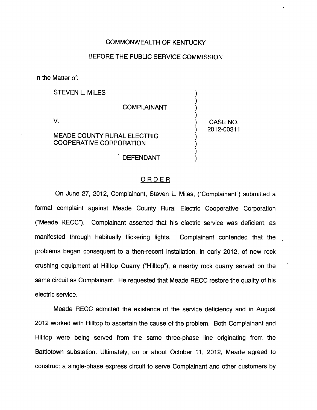## COMMONWEALTH OF KENTUCKY

## BEFORE THE PUBLIC SERVICE COMMISSION

In the Matter of:

STEVEN L. MILES COMPLAINANT V. MEADE COUNTY RURAL ELECTRIC COOPERATIVE CORPORATION CASE NO. 2012-00311

DEFENDANT

## ORDER

On June 27, 2012, Complainant, Steven L. Miles, ("Complainant") submitted a formal complaint against Meade County Rural Electric Cooperative Corporation ("Meade RECC"). Complainant asserted that his electric service was deficient, as manifested through habitually flickering lights. Complainant contended that the problems began consequent to a then-recent installation, in early 2012, of new rock crushing equipment at Hilltop Quarry ("Hilltop"), a nearby rock quarry served on the same circuit as Complainant. He requested that Meade RECC restore the quality of his electric service.

Meade RECC admitted the existence of the service deficiency and in August 2012 worked with Hilltop to ascertain the cause of the problem. Both Complainant and Hilltop were being served from the same three-phase line originating from the Battletown substation. Ultimately, on or about October 11, 2012, Meade agreed to construct a single-phase express circuit to serve Complainant and other customers by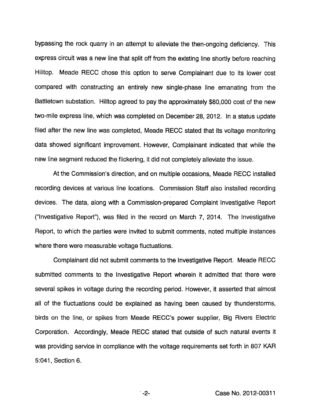bypassing the rock quarry in an attempt to alleviate the then-ongoing deficiency. This express circuit was a new line that split off from the existing line shortly before reaching Hilltop. Meade RECC chose this option to serve Complainant due to its lower cost compared with constructing an entirely new single-phase line emanating from the Battletown substation. Hilltop agreed to pay the approximately \$80,000 cost of the new two-mile express line, which was completed on December 28, 2012. In a status update filed after the new line was completed, Meade RECC stated that its voltage monitoring data showed significant improvement. However, Complainant indicated that while the new line segment reduced the flickering, it did not completely alleviate the issue.

At the Commission's direction, and on multiple occasions, Meade RECC installed recording devices at various line locations. Commission Staff also installed recording devices. The data, along with a Commission-prepared Complaint Investigative Report ("Investigative Report"), was filed in the record on March 7, 2014. The Investigative Report, to which the parties were invited to submit comments, noted multiple instances where there were measurable voltage fluctuations.

Complainant did not submit comments to the Investigative Report. Meade RECC submitted comments to the Investigative Report wherein it admitted that there were several spikes in voltage during the recording period. However, it asserted that almost all of the fluctuations could be explained as having been caused by thunderstorms, birds on the line, or spikes from Meade RECC's power supplier. Big Rivers Electric Corporation. Accordingly, Meade RECC stated that outside of such natural events it was providing service in compliance with the voltage requirements set forth in 807 KAR 5:041, Section 6.

 $-2-$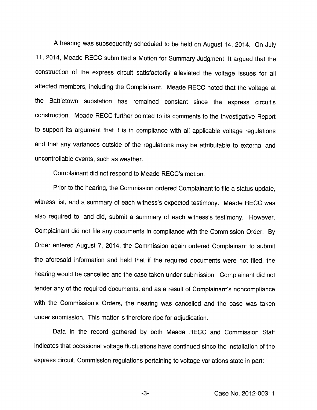Ahearing was subsequently scheduled to be held on August 14, 2014. On July 11, 2014, Meade RECC submitted a Motion for Summary Judgment. It argued that the construction of the express circuit satisfactorily alleviated the voltage issues for all affected members. Including the Complainant. Meade RECC noted that the voltage at the Battletown substation has remained constant since the express circuit's construction. Meade RECC further pointed to Its comments to the Investigative Report to support its argument that it is in compliance with all applicable voltage regulations and that any variances outside of the regulations may be attributable to external and uncontrollable events, such as weather.

Complainant did not respond to Meade RECC's motion.

Prior to the hearing, the Commission ordered Complainant to file a status update, witness list, and a summary of each witness's expected testimony. Meade RECC was also required to, and did, submit a summary of each witness's testimony. However, Complainant did not file any documents in compliance with the Commission Order. By Order entered August 7, 2014, the Commission again ordered Complainant to submit the aforesaid information and held that if the required documents were not filed, the hearing would be cancelled and the case taken under submission. Complainant did not tender any of the required documents, and as a result of Complainant's noncompllance with the Commission's Orders, the hearing was cancelled and the case was taken under submission. This matter is therefore ripe for adjudication.

Data in the record gathered by both Meade RECC and Commission Staff indicates that occasional voltage fluctuations have continued since the installation of the express circuit. Commission regulations pertaining to voltage variations state in part:

-3- Case No. 2012-00311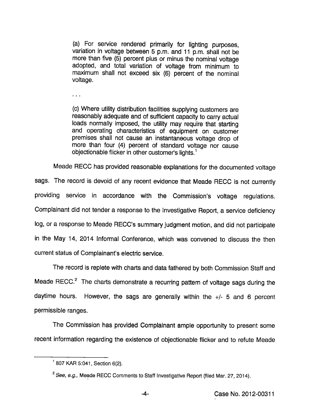(a) For service rendered primarily for lighting purposes, variation in voltage between 5 p.m. and 11 p.m. shall not be more than five (5) percent plus or minus the nominal voltage adopted, and total variation of voltage from minimum to maximum shall not exceed six (6) percent of the nominal voltage.

 $\ddotsc$ 

(c) Where utility distribution facilities supplying customers are reasonably adequate and of sufficient capacity to carry actual loads normally imposed, the utility may require that starting and operating characteristics of equipment on customer premises shall not cause an instantaneous voltage drop of more than four (4) percent of standard voltage nor cause objectionable flicker in other customer's lights. $<sup>1</sup>$ </sup>

Meade RECC has provided reasonable explanations for the documented voltage

sags. The record is devoid of any recent evidence that Meade RECC is not currently providing service in accordance with the Commission's voltage regulations. Complainant did not tender a response to the Investigative Report, a service deficiency log, or a response to Meade RECC's summary judgment motion, and did not participate in the May 14, 2014 Informal Conference, which was convened to discuss the then current status of Complainant's electric service.

The record is replete with charts and data fathered by both Commission Staff and Meade RECC. $<sup>2</sup>$  The charts demonstrate a recurring pattern of voltage sags during the</sup> daytime hours. However, the sags are generally within the  $+/-$  5 and 6 percent permissible ranges.

The Commission has provided Complainant ample opportunity to present some recent information regarding the existence of objectionable flicker and to refute Meade

 $^1$  807 KAR 5:041, Section 6(2).

<sup>&</sup>lt;sup>2</sup> See, e.g., Meade RECC Comments to Staff Investigative Report (filed Mar. 27, 2014).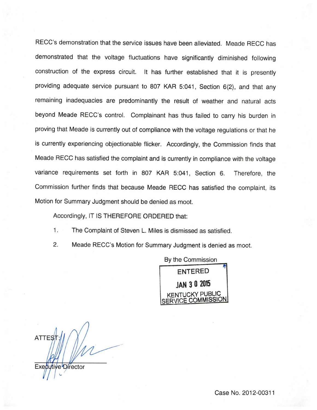RECC's demonstration that the service issues have been alleviated. Meade RECC has demonstrated that the voltage fluctuations have significantly diminished following construction of the express circuit. It has further established that it is presently providing adequate service pursuant to 807 KAR 5:041, Section 6(2), and that any remaining inadequacies are predominantly the result of weather and natural acts beyond Meade RECC's control. Complainant has thus failed to carry his burden in proving that Meade is currently out of compliance with the voltage regulations or that he is currently experiencing objectionable flicker. Accordingly, the Commission finds that Meade RECC has satisfied the complaint and is currently in compliance with the voltage variance requirements set forth in 807 KAR 5:041, Section 6. Therefore, the Commission further finds that because Meade RECC has satisfied the complaint, its Motion for Summary Judgment should be denied as moot.

Accordingly, IT IS THEREFORE ORDERED that:

1. The Complaint of Steven L. Miles is dismissed as satisfied.

2. Meade RECC's Motion for Summary Judgment is denied as moot.

By the Commission ENTERED JAN 3 0 <sup>2015</sup> **ICKY PUBLIC** SERVICE COMMISSION

**ATTES** 

Executive Director